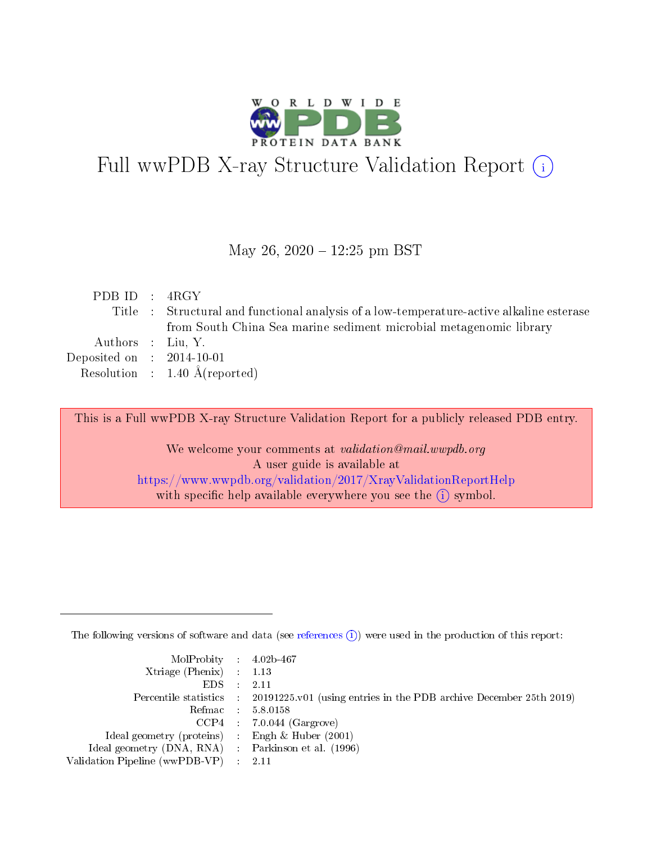

# Full wwPDB X-ray Structure Validation Report (i)

#### May 26,  $2020 - 12:25$  pm BST

| PDBID : 4RGY                |                                                                                          |
|-----------------------------|------------------------------------------------------------------------------------------|
|                             | Title : Structural and functional analysis of a low-temperature-active alkaline esterase |
|                             | from South China Sea marine sediment microbial metagenomic library                       |
| Authors : Liu, Y.           |                                                                                          |
| Deposited on : $2014-10-01$ |                                                                                          |
|                             | Resolution : $1.40 \text{ Å}$ (reported)                                                 |

This is a Full wwPDB X-ray Structure Validation Report for a publicly released PDB entry.

We welcome your comments at validation@mail.wwpdb.org A user guide is available at <https://www.wwpdb.org/validation/2017/XrayValidationReportHelp> with specific help available everywhere you see the  $(i)$  symbol.

The following versions of software and data (see [references](https://www.wwpdb.org/validation/2017/XrayValidationReportHelp#references)  $(i)$ ) were used in the production of this report:

| $MolProbability$ 4.02b-467                          |                                                                                            |
|-----------------------------------------------------|--------------------------------------------------------------------------------------------|
| Xtriage (Phenix) $: 1.13$                           |                                                                                            |
| $EDS$ :                                             | -2.11                                                                                      |
|                                                     | Percentile statistics : 20191225.v01 (using entries in the PDB archive December 25th 2019) |
|                                                     | Refmac : 5.8.0158                                                                          |
|                                                     | $CCP4$ : 7.0.044 (Gargrove)                                                                |
| Ideal geometry (proteins) : Engh $\&$ Huber (2001)  |                                                                                            |
| Ideal geometry (DNA, RNA) : Parkinson et al. (1996) |                                                                                            |
| Validation Pipeline (wwPDB-VP)                      | -2.11                                                                                      |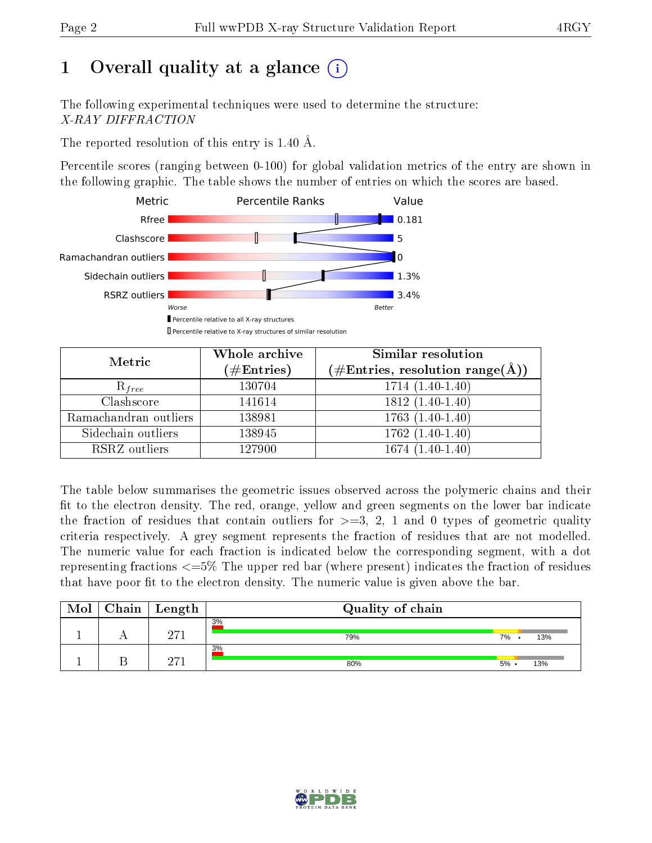## 1 [O](https://www.wwpdb.org/validation/2017/XrayValidationReportHelp#overall_quality)verall quality at a glance  $(i)$

The following experimental techniques were used to determine the structure: X-RAY DIFFRACTION

The reported resolution of this entry is 1.40 Å.

Percentile scores (ranging between 0-100) for global validation metrics of the entry are shown in the following graphic. The table shows the number of entries on which the scores are based.



| Metric                | Whole archive<br>$(\#\text{Entries})$ | Similar resolution<br>$(\#\text{Entries},\,\text{resolution}\,\,\text{range}(\textup{\AA}))$ |  |
|-----------------------|---------------------------------------|----------------------------------------------------------------------------------------------|--|
| $R_{free}$            | 130704                                | $1714(1.40-1.40)$                                                                            |  |
| Clashscore            | 141614                                | $1812(1.40-1.40)$                                                                            |  |
| Ramachandran outliers | 138981                                | $\overline{1763}$ $(1.40-1.40)$                                                              |  |
| Sidechain outliers    | 138945                                | $1762(1.40-1.40)$                                                                            |  |
| RSRZ outliers         | 127900                                | $1674(1.40-1.40)$                                                                            |  |

The table below summarises the geometric issues observed across the polymeric chains and their fit to the electron density. The red, orange, yellow and green segments on the lower bar indicate the fraction of residues that contain outliers for  $>=3, 2, 1$  and 0 types of geometric quality criteria respectively. A grey segment represents the fraction of residues that are not modelled. The numeric value for each fraction is indicated below the corresponding segment, with a dot representing fractions  $\epsilon=5\%$  The upper red bar (where present) indicates the fraction of residues that have poor fit to the electron density. The numeric value is given above the bar.

| Mol | Chain | $\perp$ Length | Quality of chain |         |     |
|-----|-------|----------------|------------------|---------|-----|
|     |       | o71            | 3%<br>79%        | 7%      | 13% |
|     |       | <b>Oワ1</b>     | 3%<br>80%        | $5\%$ . | 13% |

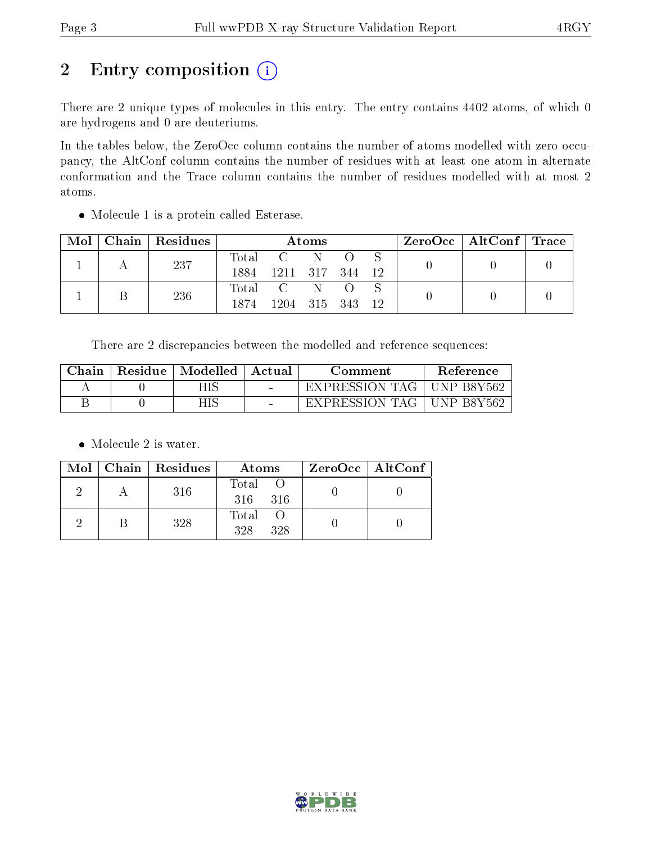## 2 Entry composition (i)

There are 2 unique types of molecules in this entry. The entry contains 4402 atoms, of which 0 are hydrogens and 0 are deuteriums.

In the tables below, the ZeroOcc column contains the number of atoms modelled with zero occupancy, the AltConf column contains the number of residues with at least one atom in alternate conformation and the Trace column contains the number of residues modelled with at most 2 atoms.

Molecule 1 is a protein called Esterase.

| Mol | $Chain$ Residues | Atoms         |                              |  |  | $ZeroOcc \mid AltConf \mid Trace$ |  |  |
|-----|------------------|---------------|------------------------------|--|--|-----------------------------------|--|--|
|     | 237              | Total<br>1884 | 1211 317 344                 |  |  | 12                                |  |  |
|     | 236              | Total<br>1874 | $\mathbf{C}$<br>1204 315 343 |  |  | 12                                |  |  |

There are 2 discrepancies between the modelled and reference sequences:

| ${\rm Chain}$ | Residue | $\mid$ Modelled $\mid$ | ' Actual                 | Comment        | Reference                   |
|---------------|---------|------------------------|--------------------------|----------------|-----------------------------|
|               |         |                        | $\overline{\phantom{a}}$ | EXPRESSION TAG | $\overline{\rm UNP}$ B8Y562 |
|               |         |                        | $\blacksquare$           | EXPRESSION TAG | ' UNP B8Y562                |

• Molecule 2 is water.

|  | $Mol$   Chain   Residues | Atoms               | $ZeroOcc \   \$ AltConf |
|--|--------------------------|---------------------|-------------------------|
|  | 316                      | Total O<br>316 316  |                         |
|  | 328                      | Total<br>328<br>328 |                         |

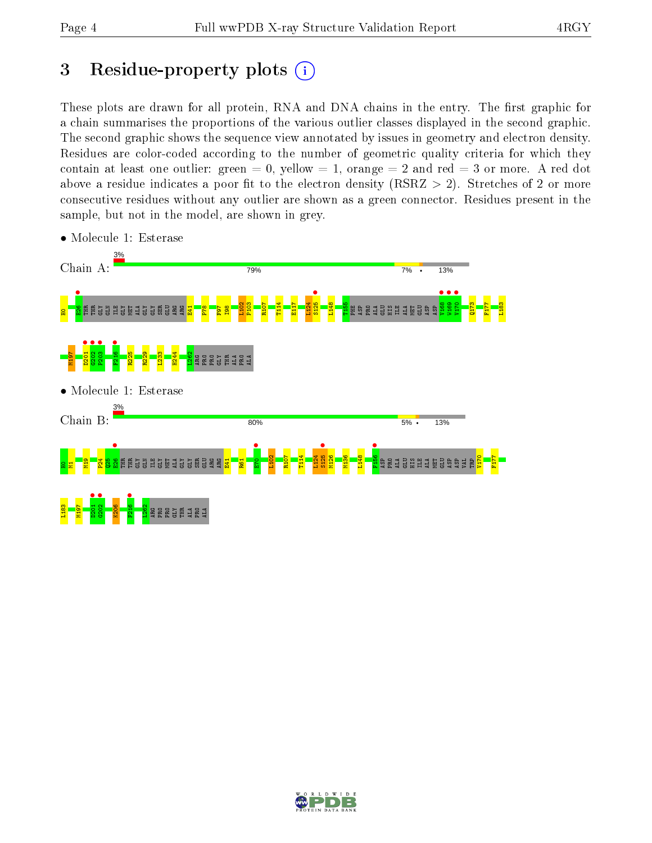## 3 Residue-property plots  $(i)$

These plots are drawn for all protein, RNA and DNA chains in the entry. The first graphic for a chain summarises the proportions of the various outlier classes displayed in the second graphic. The second graphic shows the sequence view annotated by issues in geometry and electron density. Residues are color-coded according to the number of geometric quality criteria for which they contain at least one outlier: green  $= 0$ , yellow  $= 1$ , orange  $= 2$  and red  $= 3$  or more. A red dot above a residue indicates a poor fit to the electron density (RSRZ  $> 2$ ). Stretches of 2 or more consecutive residues without any outlier are shown as a green connector. Residues present in the sample, but not in the model, are shown in grey.



• Molecule 1: Esterase

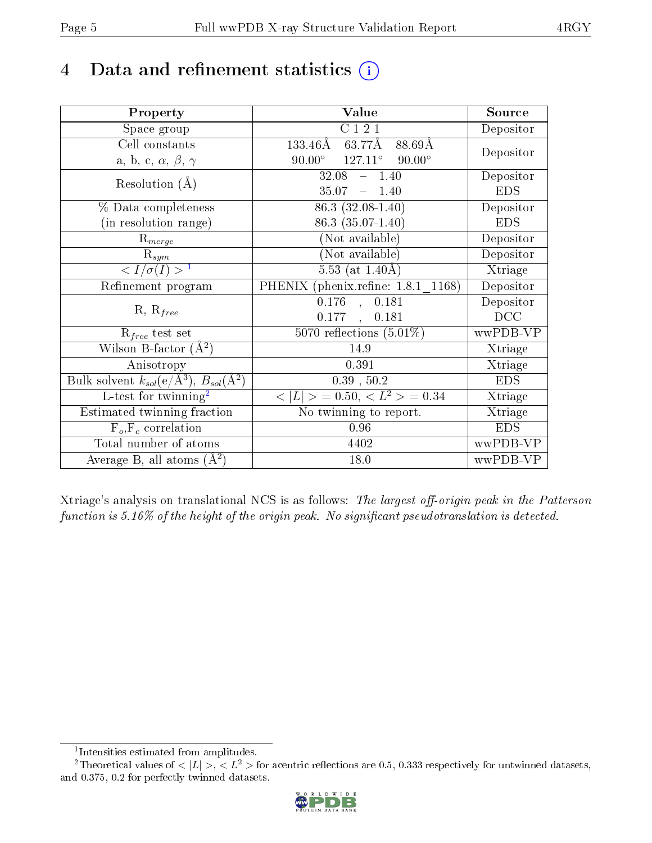## 4 Data and refinement statistics  $(i)$

| Property                                                             | Value                                             | Source     |
|----------------------------------------------------------------------|---------------------------------------------------|------------|
| Space group                                                          | $\overline{C}$ 1 2 1                              | Depositor  |
| Cell constants                                                       | $63.77$ Å<br>$133.46\text{\AA}$<br>88.69Å         |            |
| a, b, c, $\alpha$ , $\beta$ , $\gamma$                               | $90.00^{\circ}$ $127.11^{\circ}$<br>$90.00^\circ$ | Depositor  |
| Resolution $(A)$                                                     | 32.08<br>$-1.40$                                  | Depositor  |
|                                                                      | $35.07 - 1.40$                                    | <b>EDS</b> |
| % Data completeness                                                  | 86.3 (32.08-1.40)                                 | Depositor  |
| (in resolution range)                                                | 86.3 (35.07-1.40)                                 | <b>EDS</b> |
| $R_{merge}$                                                          | (Not available)                                   | Depositor  |
| $\mathrm{\bar{R}}_{sym}$                                             | $(No\bar{t}$ available)                           | Depositor  |
| $\langle I/\sigma(I) \rangle^{-1}$                                   | $5.53$ (at 1.40Å)                                 | Xtriage    |
| Refinement program                                                   | PHENIX (phenix.refine: 1.8.1 1168)                | Depositor  |
|                                                                      | 0.176<br>0.181<br>$\sim$                          | Depositor  |
| $R, R_{free}$                                                        | 0.177<br>0.181<br>$\mathbb{R}$                    | DCC        |
| $R_{free}$ test set                                                  | $\overline{5070}$ reflections $(5.01\%)$          | wwPDB-VP   |
| Wilson B-factor $(\AA^2)$                                            | 14.9                                              | Xtriage    |
| Anisotropy                                                           | 0.391                                             | Xtriage    |
| Bulk solvent $k_{sol}(e/\mathring{A}^3)$ , $B_{sol}(\mathring{A}^2)$ | 0.39, 50.2                                        | <b>EDS</b> |
| $L$ -test for twinning <sup>2</sup>                                  | $< L >$ = 0.50, $< L2 >$ = 0.34                   | Xtriage    |
| Estimated twinning fraction                                          | No twinning to report.                            | Xtriage    |
| $F_o, F_c$ correlation                                               | 0.96                                              | <b>EDS</b> |
| Total number of atoms                                                | 4402                                              | wwPDB-VP   |
| Average B, all atoms $(A^2)$                                         | 18.0                                              | wwPDB-VP   |

Xtriage's analysis on translational NCS is as follows: The largest off-origin peak in the Patterson function is  $5.16\%$  of the height of the origin peak. No significant pseudotranslation is detected.

<sup>&</sup>lt;sup>2</sup>Theoretical values of  $\langle |L| \rangle$ ,  $\langle L^2 \rangle$  for acentric reflections are 0.5, 0.333 respectively for untwinned datasets, and 0.375, 0.2 for perfectly twinned datasets.



<span id="page-4-1"></span><span id="page-4-0"></span><sup>1</sup> Intensities estimated from amplitudes.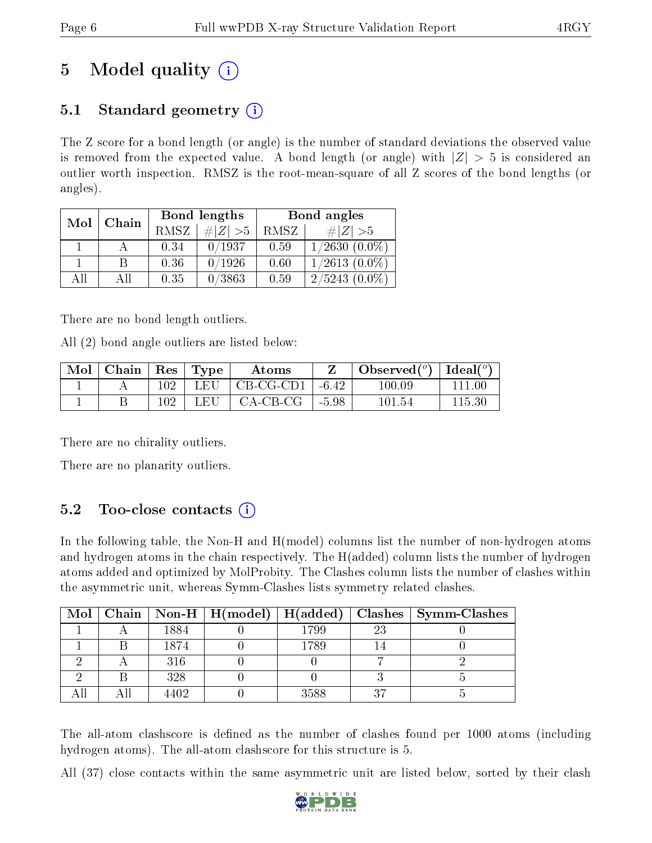## 5 Model quality  $(i)$

## 5.1 Standard geometry  $(i)$

The Z score for a bond length (or angle) is the number of standard deviations the observed value is removed from the expected value. A bond length (or angle) with  $|Z| > 5$  is considered an outlier worth inspection. RMSZ is the root-mean-square of all Z scores of the bond lengths (or angles).

| Mol | Chain |             | Bond lengths | Bond angles |                    |  |
|-----|-------|-------------|--------------|-------------|--------------------|--|
|     |       | <b>RMSZ</b> | $\ Z\  > 5$  | RMSZ        | # $ Z  > 5$        |  |
|     |       | 0.34        | 0/1937       | 0.59        | $1/2630(0.0\%)$    |  |
|     | B     | 0.36        | 0/1926       | 0.60        | $1/2613$ $(0.0\%)$ |  |
| ΑH  | ΑH    | 0.35        | 0/3863       | 0.59        | $2/5243(0.0\%)$    |  |

There are no bond length outliers.

All (2) bond angle outliers are listed below:

| $\bf{Mol}$ | $\vert$ Chain $\vert$ Res $\vert$ Type |     |     | Atoms             |         | Observed( $^{\circ}$ )   Ideal( $^{\circ}$ ) |            |
|------------|----------------------------------------|-----|-----|-------------------|---------|----------------------------------------------|------------|
|            |                                        | 102 | LEU | CB-CG-CD1   -6.42 |         | $100.09\,$                                   | $111.00\,$ |
|            |                                        | 102 | LEU | CA-CB-CG          | $-5.98$ | 101.54                                       | 115.30     |

There are no chirality outliers.

There are no planarity outliers.

### $5.2$  Too-close contacts  $(i)$

In the following table, the Non-H and H(model) columns list the number of non-hydrogen atoms and hydrogen atoms in the chain respectively. The H(added) column lists the number of hydrogen atoms added and optimized by MolProbity. The Clashes column lists the number of clashes within the asymmetric unit, whereas Symm-Clashes lists symmetry related clashes.

| Mol |      | $\mid$ Chain $\mid$ Non-H $\mid$ H(model) $\mid$ H(added) $\mid$ |      |    | Clashes   Symm-Clashes |
|-----|------|------------------------------------------------------------------|------|----|------------------------|
|     | 1884 |                                                                  | 1799 | 23 |                        |
|     | 1874 |                                                                  | 1789 |    |                        |
|     | 316  |                                                                  |      |    |                        |
|     | 328  |                                                                  |      |    |                        |
|     | 4402 |                                                                  | 3588 | 37 |                        |

The all-atom clashscore is defined as the number of clashes found per 1000 atoms (including hydrogen atoms). The all-atom clashscore for this structure is 5.

All (37) close contacts within the same asymmetric unit are listed below, sorted by their clash

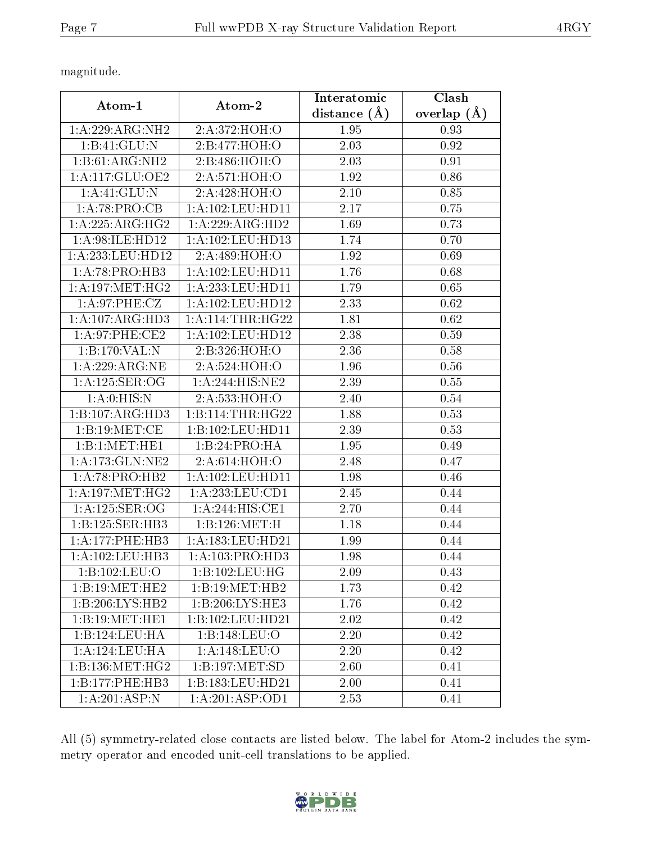magnitude.

| Atom-1             | Atom-2               | Interatomic       | Clash             |
|--------------------|----------------------|-------------------|-------------------|
|                    |                      | distance $(\AA)$  | overlap $(\AA)$   |
| 1: A:229: ARG: NH2 | 2:A:372:HOH:O        | 1.95              | 0.93              |
| 1:B:41:GLU:N       | 2:B:477:HOH:O        | 2.03              | 0.92              |
| 1:B:61:ARG:NH2     | 2:B:486:HOH:O        | 2.03              | $\overline{0.91}$ |
| 1:A:117:GLU:OE2    | 2: A:571:HOH:O       | 1.92              | 0.86              |
| 1:A:41:GLU:N       | 2:A:428:HOH:O        | 2.10              | 0.85              |
| 1:A:78:PRO:CB      | 1: A: 102: LEU: HD11 | 2.17              | 0.75              |
| 1: A:225: ARG: HG2 | 1:A:229:ARG:HD2      | 1.69              | 0.73              |
| 1: A:98: ILE: HD12 | 1: A: 102: LEU: HD13 | 1.74              | 0.70              |
| 1:A:233:LEU:HD12   | 2:A:489:HOH:O        | 1.92              | 0.69              |
| 1:A:78:PRO:HB3     | 1: A: 102: LEU: HD11 | 1.76              | 0.68              |
| 1: A:197:MET:HG2   | 1:A:233:LEU:HD11     | $\overline{1.79}$ | 0.65              |
| 1: A:97:PHE:CZ     | 1: A:102:LEU:HD12    | 2.33              | 0.62              |
| 1:A:107:ARG:HD3    | 1: A:114:THR:HG22    | 1.81              | 0.62              |
| $1: A:97:$ PHE:CE2 | 1: A:102:LEU:HD12    | 2.38              | 0.59              |
| 1:B:170:VAL:N      | 2:B:326:HOH:O        | 2.36              | 0.58              |
| 1:A:229:ARG:NE     | 2: A:524: HOH: O     | 1.96              | 0.56              |
| 1:A:125:SER:OG     | 1: A:244: HIS: NE2   | 2.39              | 0.55              |
| 1: A: 0: HIS: N    | 2:A:533:HOH:O        | 2.40              | 0.54              |
| 1:B:107:ARG:HD3    | 1:B:114:THR:HG22     | 1.88              | 0.53              |
| 1:B:19:MET:CE      | 1:B:102:LEU:HD11     | 2.39              | 0.53              |
| 1:B:1:MET:HE1      | 1:B:24:PRO:HA        | 1.95              | 0.49              |
| 1:A:173:GLN:NE2    | 2:A:614:HOH:O        | 2.48              | 0.47              |
| 1:A:78:PRO:HB2     | 1: A: 102: LEU: HD11 | 1.98              | 0.46              |
| 1: A:197: MET:HG2  | 1: A: 233: LEU: CD1  | 2.45              | 0.44              |
| 1:A:125:SER:OG     | 1:A:244:HIS:CE1      | 2.70              | 0.44              |
| 1:B:125:SER:HB3    | 1:B:126:MET:H        | 1.18              | 0.44              |
| 1:A:177:PHE:HB3    | 1: A: 183: LEU: HD21 | 1.99              | 0.44              |
| 1:A:102:LEU:HB3    | 1:A:103:PRO:HD3      | 1.98              | 0.44              |
| 1:B:102:LEU:O      | 1:B:102:LEU:HG       | 2.09              | 0.43              |
| 1:B:19:MET:HE2     | 1:B:19:MET:HB2       | 1.73              | 0.42              |
| 1:B:206:LYS:HB2    | 1:B:206:LYS:HE3      | 1.76              | 0.42              |
| 1:B:19:MET:HE1     | 1:B:102:LEU:HD21     | 2.02              | 0.42              |
| 1:B:124:LEU:HA     | 1:B:148:LEU:O        | 2.20              | 0.42              |
| 1: A: 124: LEU: HA | 1: A:148: LEU:O      | 2.20              | 0.42              |
| 1:B:136:MET:HG2    | 1:B:197:MET:SD       | 2.60              | 0.41              |
| 1:B:177:PHE:HB3    | 1:B:183:LEU:HD21     | 2.00              | 0.41              |
| 1:A:201:ASP:N      | 1:A:201:ASP:OD1      | 2.53              | 0.41              |

All (5) symmetry-related close contacts are listed below. The label for Atom-2 includes the symmetry operator and encoded unit-cell translations to be applied.

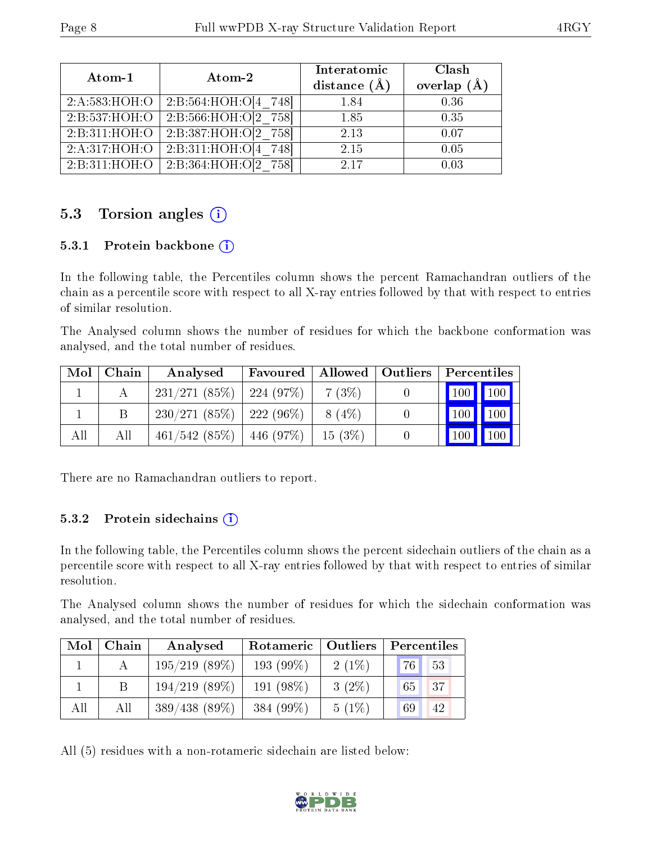| Atom-1           | Atom-2                                       | Interatomic<br>distance $(A)$ | Clash<br>overlap $(A)$ |
|------------------|----------------------------------------------|-------------------------------|------------------------|
| 2:A:583:HOH:O    | 2:B:564:HOH:O[4 748]                         | 1.84                          | 0.36                   |
| 2:B:537:HOH:O    | 2: B: 566 : HOH: O[2 758]                    | 1.85                          | 0.35                   |
| 2:B:311:HOH:O    | 2:B:387:HOH:O[2 758]                         | 2.13                          | 0.07                   |
| 2:A:317:HOH:O    | 2:B:311:HOH:O[4 748]                         | 2.15                          | 0.05                   |
| 2: B: 311: HOH:O | $\overline{2:}B:\overline{364}:HOH:O[2 758]$ | 2.17                          | 0.03                   |

### 5.3 Torsion angles (i)

#### 5.3.1 Protein backbone  $(i)$

In the following table, the Percentiles column shows the percent Ramachandran outliers of the chain as a percentile score with respect to all X-ray entries followed by that with respect to entries of similar resolution.

The Analysed column shows the number of residues for which the backbone conformation was analysed, and the total number of residues.

| Mol | Chain | Analysed                      | Favoured | Allowed   Outliers | Percentiles         |                     |
|-----|-------|-------------------------------|----------|--------------------|---------------------|---------------------|
|     |       | $231/271(85\%)$   224 (97\%)  |          | $-7(3%)$           | 100 100             |                     |
|     |       | $230/271(85\%)$   222 (96\%)  |          | 8 (4\%)            | $100$   $100$       |                     |
| All | All   | $461/542$ (85\%)   446 (97\%) |          | $15(3\%)$          | $\vert$ 100 $\vert$ | $\vert$ 100 $\vert$ |

There are no Ramachandran outliers to report.

#### 5.3.2 Protein sidechains  $(i)$

In the following table, the Percentiles column shows the percent sidechain outliers of the chain as a percentile score with respect to all X-ray entries followed by that with respect to entries of similar resolution.

The Analysed column shows the number of residues for which the sidechain conformation was analysed, and the total number of residues.

| Mol | Chain | Analysed         | Rotameric    | $\vert$ Outliers | Percentiles |
|-----|-------|------------------|--------------|------------------|-------------|
|     |       | $195/219$ (89\%) | 193 $(99\%)$ | $2(1\%)$         | 76<br>53    |
|     |       | $194/219$ (89%)  | 191 $(98\%)$ | $3(2\%)$         | 137<br>65   |
| All | All   | $389/438(89\%)$  | 384 $(99\%)$ | 5(1%)            | 69<br>42    |

All (5) residues with a non-rotameric sidechain are listed below:

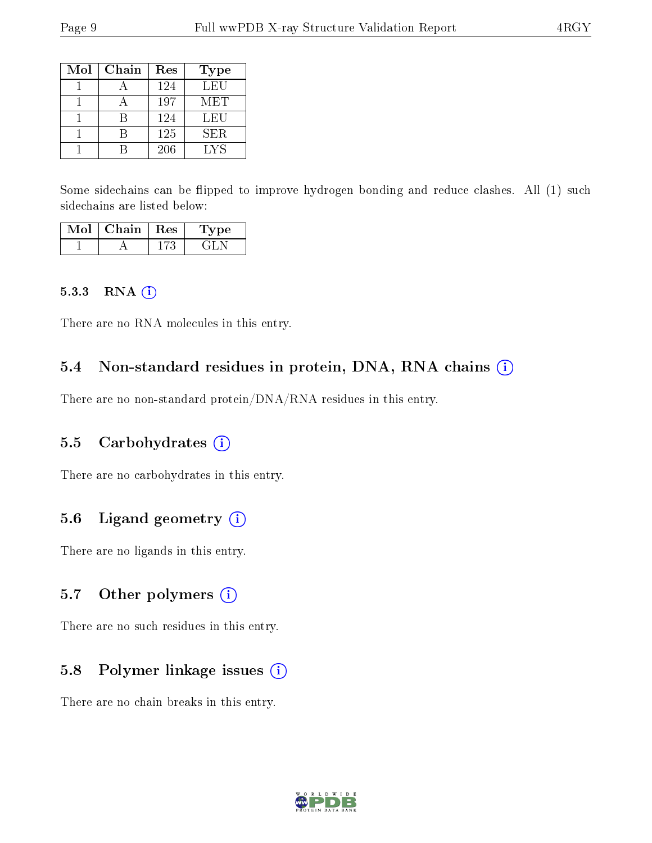| Mol | Chain | Res | Type |
|-----|-------|-----|------|
|     |       | 124 | LEU  |
|     |       | 197 | MET  |
|     |       | 124 | LEU  |
|     |       | 125 | SER. |
|     |       | 206 | LYS  |

Some sidechains can be flipped to improve hydrogen bonding and reduce clashes. All (1) such sidechains are listed below:

| $Mol$   Chain   Res | 'Type |
|---------------------|-------|
|                     |       |

#### 5.3.3 RNA (1)

There are no RNA molecules in this entry.

#### 5.4 Non-standard residues in protein, DNA, RNA chains (i)

There are no non-standard protein/DNA/RNA residues in this entry.

#### 5.5 Carbohydrates (i)

There are no carbohydrates in this entry.

#### 5.6 Ligand geometry (i)

There are no ligands in this entry.

#### 5.7 [O](https://www.wwpdb.org/validation/2017/XrayValidationReportHelp#nonstandard_residues_and_ligands)ther polymers (i)

There are no such residues in this entry.

#### 5.8 Polymer linkage issues (i)

There are no chain breaks in this entry.

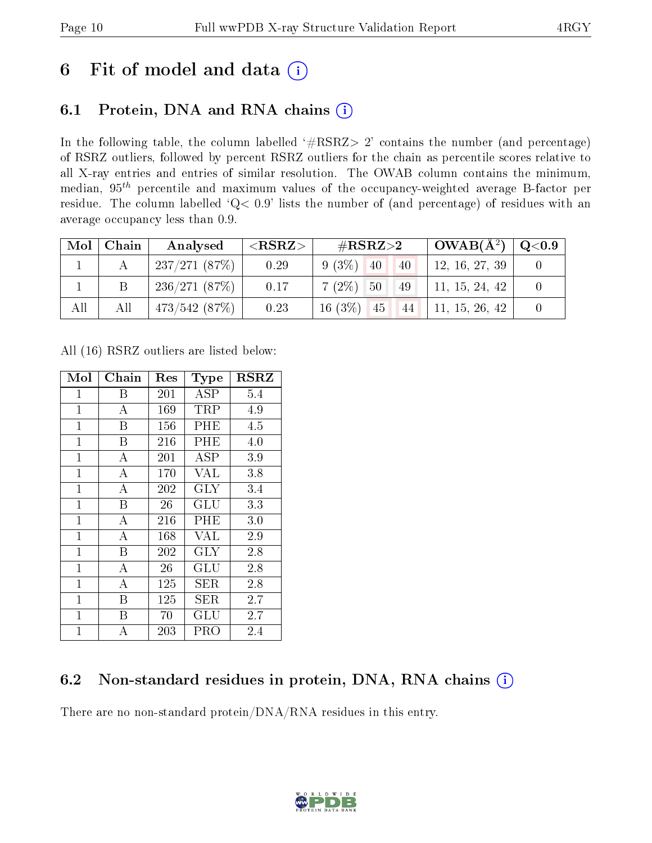## 6 Fit of model and data  $(i)$

## 6.1 Protein, DNA and RNA chains  $(i)$

In the following table, the column labelled  $#RSRZ> 2'$  contains the number (and percentage) of RSRZ outliers, followed by percent RSRZ outliers for the chain as percentile scores relative to all X-ray entries and entries of similar resolution. The OWAB column contains the minimum, median,  $95<sup>th</sup>$  percentile and maximum values of the occupancy-weighted average B-factor per residue. The column labelled ' $Q< 0.9$ ' lists the number of (and percentage) of residues with an average occupancy less than 0.9.

| $\text{Mol}$ | Chain | Analysed            | $<$ RSRZ $>$ | $\rm \#RSRZ{>}2$             | $\mid$ OWAB(Å $^2)$ $\mid$ Q<0.9 $\mid$ |  |
|--------------|-------|---------------------|--------------|------------------------------|-----------------------------------------|--|
|              |       | $\pm 237/271$ (87%) | 0.29         | $9(3\%)$ 40<br>40            | 12, 16, 27, 39                          |  |
|              |       | 236/271(87%)        | 0.17         | $7(2\%)$ 50<br>49            | 11, 15, 24, 42                          |  |
| All          | All   | 473/542(87%)        | 0.23         | 16 (3%) 45 44 11, 15, 26, 42 |                                         |  |

All (16) RSRZ outliers are listed below:

| Mol          | Chain          | $\operatorname{Res}% \left( \mathcal{N}\right) \equiv\operatorname{Res}(\mathcal{N}_{0},\mathcal{N}_{0})$ | <b>Type</b>          | <b>RSRZ</b> |
|--------------|----------------|-----------------------------------------------------------------------------------------------------------|----------------------|-------------|
| $\mathbf 1$  | Β              | 201                                                                                                       | <b>ASP</b>           | 5.4         |
| $\mathbf{1}$ | А              | 169                                                                                                       | TRP                  | 4.9         |
| $\mathbf{1}$ | B              | 156                                                                                                       | $\rm PHE$            | 4.5         |
| $\mathbf 1$  | В              | 216                                                                                                       | $\rm PHE$            | 4.0         |
| $\mathbf{1}$ | $\overline{A}$ | 201                                                                                                       | $\overline{\rm ASP}$ | 3.9         |
| $\mathbf{1}$ | $\bf{A}$       | 170                                                                                                       | VAL                  | 3.8         |
| $\mathbf{1}$ | А              | 202                                                                                                       | GLY                  | 3.4         |
| $\mathbf{1}$ | Β              | 26                                                                                                        | GLU                  | 3.3         |
| $\mathbf 1$  | А              | 216                                                                                                       | $\rm PHE$            | 3.0         |
| $\mathbf{1}$ | $\bf{A}$       | 168                                                                                                       | <b>VAL</b>           | 2.9         |
| $\mathbf{1}$ | B              | 202                                                                                                       | GLY                  | 2.8         |
| $\mathbf 1$  | A              | 26                                                                                                        | GLU                  | 2.8         |
| $\mathbf{1}$ | A              | 125                                                                                                       | SER                  | 2.8         |
| $\mathbf{1}$ | B              | 125                                                                                                       | SER                  | 2.7         |
| $\mathbf 1$  | В              | 70                                                                                                        | $\operatorname{GLU}$ | 2.7         |
| $\mathbf{1}$ | А              | 203                                                                                                       | PRO                  | 2.4         |

### 6.2 Non-standard residues in protein, DNA, RNA chains  $(i)$

There are no non-standard protein/DNA/RNA residues in this entry.